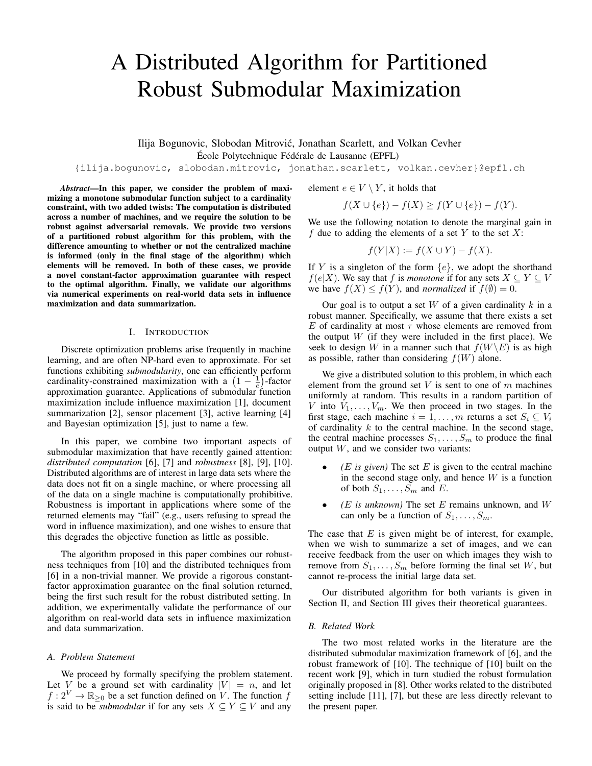# A Distributed Algorithm for Partitioned Robust Submodular Maximization

Ilija Bogunovic, Slobodan Mitrovic, Jonathan Scarlett, and Volkan Cevher ´

École Polytechnique Fédérale de Lausanne (EPFL)

{ilija.bogunovic, slobodan.mitrovic, jonathan.scarlett, volkan.cevher}@epfl.ch

*Abstract*—In this paper, we consider the problem of maximizing a monotone submodular function subject to a cardinality constraint, with two added twists: The computation is distributed across a number of machines, and we require the solution to be robust against adversarial removals. We provide two versions of a partitioned robust algorithm for this problem, with the difference amounting to whether or not the centralized machine is informed (only in the final stage of the algorithm) which elements will be removed. In both of these cases, we provide a novel constant-factor approximation guarantee with respect to the optimal algorithm. Finally, we validate our algorithms via numerical experiments on real-world data sets in influence maximization and data summarization.

## I. INTRODUCTION

Discrete optimization problems arise frequently in machine learning, and are often NP-hard even to approximate. For set functions exhibiting *submodularity*, one can efficiently perform cardinality-constrained maximization with a  $(1 - \frac{1}{e})$ -factor approximation guarantee. Applications of submodular function maximization include influence maximization [1], document summarization [2], sensor placement [3], active learning [4] and Bayesian optimization [5], just to name a few.

In this paper, we combine two important aspects of submodular maximization that have recently gained attention: *distributed computation* [6], [7] and *robustness* [8], [9], [10]. Distributed algorithms are of interest in large data sets where the data does not fit on a single machine, or where processing all of the data on a single machine is computationally prohibitive. Robustness is important in applications where some of the returned elements may "fail" (e.g., users refusing to spread the word in influence maximization), and one wishes to ensure that this degrades the objective function as little as possible.

The algorithm proposed in this paper combines our robustness techniques from [10] and the distributed techniques from [6] in a non-trivial manner. We provide a rigorous constantfactor approximation guarantee on the final solution returned, being the first such result for the robust distributed setting. In addition, we experimentally validate the performance of our algorithm on real-world data sets in influence maximization and data summarization.

## *A. Problem Statement*

We proceed by formally specifying the problem statement. Let V be a ground set with cardinality  $|V| = n$ , and let  $f: 2^V \to \mathbb{R}_{\geq 0}$  be a set function defined on V. The function f is said to be *submodular* if for any sets  $X \subseteq Y \subseteq V$  and any

element  $e \in V \setminus Y$ , it holds that

$$
f(X \cup \{e\}) - f(X) \ge f(Y \cup \{e\}) - f(Y).
$$

We use the following notation to denote the marginal gain in  $f$  due to adding the elements of a set Y to the set X:

$$
f(Y|X) := f(X \cup Y) - f(X).
$$

If Y is a singleton of the form  $\{e\}$ , we adopt the shorthand  $f(e|X)$ . We say that f is *monotone* if for any sets  $X \subseteq Y \subseteq V$ we have  $f(X) \leq f(Y)$ , and *normalized* if  $f(\emptyset) = 0$ .

Our goal is to output a set  $W$  of a given cardinality  $k$  in a robust manner. Specifically, we assume that there exists a set E of cardinality at most  $\tau$  whose elements are removed from the output  $W$  (if they were included in the first place). We seek to design W in a manner such that  $f(W\backslash E)$  is as high as possible, rather than considering  $f(W)$  alone.

We give a distributed solution to this problem, in which each element from the ground set  $V$  is sent to one of  $m$  machines uniformly at random. This results in a random partition of V into  $V_1, \ldots, V_m$ . We then proceed in two stages. In the first stage, each machine  $i = 1, \ldots, m$  returns a set  $S_i \subseteq V_i$ of cardinality  $k$  to the central machine. In the second stage, the central machine processes  $S_1, \ldots, S_m$  to produce the final output  $W$ , and we consider two variants:

- $(E$  *is given*) The set  $E$  is given to the central machine in the second stage only, and hence  $W$  is a function of both  $S_1, \ldots, S_m$  and E.
- $(E$  *is unknown*) The set  $E$  remains unknown, and  $W$ can only be a function of  $S_1, \ldots, S_m$ .

The case that  $E$  is given might be of interest, for example, when we wish to summarize a set of images, and we can receive feedback from the user on which images they wish to remove from  $S_1, \ldots, S_m$  before forming the final set W, but cannot re-process the initial large data set.

Our distributed algorithm for both variants is given in Section II, and Section III gives their theoretical guarantees.

## *B. Related Work*

The two most related works in the literature are the distributed submodular maximization framework of [6], and the robust framework of [10]. The technique of [10] built on the recent work [9], which in turn studied the robust formulation originally proposed in [8]. Other works related to the distributed setting include [11], [7], but these are less directly relevant to the present paper.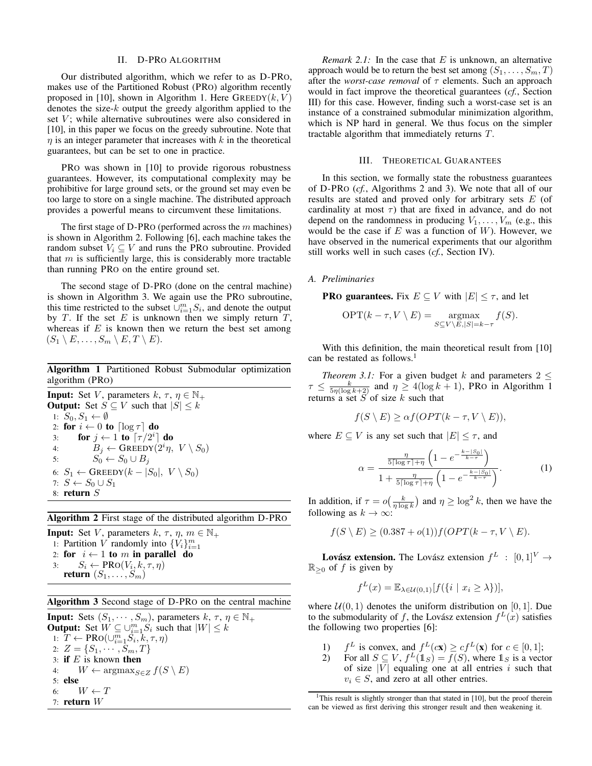## II. D-PRO ALGORITHM

Our distributed algorithm, which we refer to as D-PRO, makes use of the Partitioned Robust (PRO) algorithm recently proposed in [10], shown in Algorithm 1. Here  $\text{GREEDY}(k, V)$ denotes the size- $k$  output the greedy algorithm applied to the set  $V$ ; while alternative subroutines were also considered in [10], in this paper we focus on the greedy subroutine. Note that  $\eta$  is an integer parameter that increases with  $k$  in the theoretical guarantees, but can be set to one in practice.

PRO was shown in [10] to provide rigorous robustness guarantees. However, its computational complexity may be prohibitive for large ground sets, or the ground set may even be too large to store on a single machine. The distributed approach provides a powerful means to circumvent these limitations.

The first stage of D-PRO (performed across the  $m$  machines) is shown in Algorithm 2. Following [6], each machine takes the random subset  $V_i \subseteq V$  and runs the PRO subroutine. Provided that  $m$  is sufficiently large, this is considerably more tractable than running PRO on the entire ground set.

The second stage of D-PRO (done on the central machine) is shown in Algorithm 3. We again use the PRO subroutine, this time restricted to the subset  $\cup_{i=1}^m S_i$ , and denote the output by  $T$ . If the set  $E$  is unknown then we simply return  $T$ , whereas if  $E$  is known then we return the best set among  $(S_1 \setminus E, \ldots, S_m \setminus E, T \setminus E).$ 

Algorithm 1 Partitioned Robust Submodular optimization algorithm (PRO)

**Input:** Set V, parameters  $k, \tau, \eta \in \mathbb{N}_+$ **Output:** Set  $S \subseteq V$  such that  $|S| \leq k$ 1:  $S_0, S_1 \leftarrow \emptyset$ 2: for  $i \leftarrow 0$  to  $\lceil \log \tau \rceil$  do 3: for  $j \leftarrow 1$  to  $\lceil \tau/2^i \rceil$  do 4:  $B_j \leftarrow$  GREEDY $(2^i \eta, V \setminus S_0)$ 5:  $S_0 \leftarrow S_0 \cup B_j$ 6:  $S_1 \leftarrow$  GREEDY $(k - |S_0|, V \setminus S_0)$ 7:  $S \leftarrow S_0 \cup S_1$ 8: return S

Algorithm 2 First stage of the distributed algorithm D-PRO

**Input:** Set V, parameters k,  $\tau$ ,  $\eta$ ,  $m \in \mathbb{N}_+$ 1: Partition V randomly into  $\{V_i\}_{i=1}^m$ 2: for  $i \leftarrow 1$  to m in parallel do 3:  $S_i \leftarrow \text{PRO}(V_i, k, \tau, \eta)$ return  $(S_1, \ldots, S_m)$ 

Algorithm 3 Second stage of D-PRO on the central machine

**Input:** Sets  $(S_1, \dots, S_m)$ , parameters  $k, \tau, \eta \in \mathbb{N}_+$ **Output:** Set  $W \subseteq \bigcup_{i=1}^{m} S_i$  such that  $|W| \leq k$ 1:  $\overline{T} \leftarrow \text{PRO}(\cup_{i=1}^{m} \check{S}_i, \overline{k}, \tau, \eta)$ 2:  $Z = \{S_1, \cdots, S_m, T\}$ 3: if  $E$  is known then 4:  $W \leftarrow \operatorname{argmax}_{S \in Z} f(S \setminus E)$ 5: else 6:  $W \leftarrow T$ 7: return W

*Remark 2.1:* In the case that  $E$  is unknown, an alternative approach would be to return the best set among  $(S_1, \ldots, S_m, T)$ after the *worst-case removal* of  $\tau$  elements. Such an approach would in fact improve the theoretical guarantees (*cf.*, Section III) for this case. However, finding such a worst-case set is an instance of a constrained submodular minimization algorithm, which is NP hard in general. We thus focus on the simpler tractable algorithm that immediately returns T.

## III. THEORETICAL GUARANTEES

In this section, we formally state the robustness guarantees of D-PRO (*cf.*, Algorithms 2 and 3). We note that all of our results are stated and proved only for arbitrary sets E (of cardinality at most  $\tau$ ) that are fixed in advance, and do not depend on the randomness in producing  $V_1, \ldots, V_m$  (e.g., this would be the case if  $E$  was a function of  $W$ ). However, we have observed in the numerical experiments that our algorithm still works well in such cases (*cf.*, Section IV).

## *A. Preliminaries*

**PRO guarantees.** Fix  $E \subseteq V$  with  $|E| \leq \tau$ , and let

$$
\text{OPT}(k-\tau, V \setminus E) = \underset{S \subseteq V \setminus E, |S| = k-\tau}{\text{argmax}} f(S).
$$

With this definition, the main theoretical result from [10] can be restated as follows.<sup>1</sup>

*Theorem 3.1:* For a given budget k and parameters  $2 \leq$  $\tau \leq \frac{k}{5\eta(\log k+2)}$  and  $\eta \geq 4(\log k+1)$ , PRO in Algorithm 1 returns a set  $S$  of size  $k$  such that

$$
f(S \setminus E) \geq \alpha f(OPT(k - \tau, V \setminus E)),
$$

where  $E \subseteq V$  is any set such that  $|E| \leq \tau$ , and

$$
\alpha = \frac{\frac{\eta}{5\lceil \log \tau \rceil + \eta} \left( 1 - e^{-\frac{k - \lceil S_0 \rceil}{k - \tau}} \right)}{1 + \frac{\eta}{5\lceil \log \tau \rceil + \eta} \left( 1 - e^{-\frac{k - \lceil S_0 \rceil}{k - \tau}} \right)}.
$$
(1)

In addition, if  $\tau = o\left(\frac{k}{\eta \log k}\right)$  and  $\eta \ge \log^2 k$ , then we have the following as  $k \to \infty$ :

$$
f(S \setminus E) \ge (0.387 + o(1))f(OPT(k - \tau, V \setminus E).
$$

**Lovász extension.** The Lovász extension  $f^L : [0,1]^V \rightarrow$  $\mathbb{R}_{\geq 0}$  of f is given by

$$
f^{L}(x) = \mathbb{E}_{\lambda \in \mathcal{U}(0,1)}[f(\{i \mid x_{i} \geq \lambda\})],
$$

where  $U(0, 1)$  denotes the uniform distribution on [0, 1]. Due to the submodularity of f, the Lovász extension  $f^L(x)$  satisfies the following two properties [6]:

- $\binom{1}{2}$ L is convex, and  $f^L(c\mathbf{x}) \geq cf^L(\mathbf{x})$  for  $c \in [0,1]$ ;
- 2) For all  $S \subseteq V$ ,  $f^L(1_S) = f(S)$ , where  $1_S$  is a vector of size  $|\overline{V}|$  equaling one at all entries i such that  $v_i \in S$ , and zero at all other entries.

<sup>&</sup>lt;sup>1</sup>This result is slightly stronger than that stated in [10], but the proof therein can be viewed as first deriving this stronger result and then weakening it.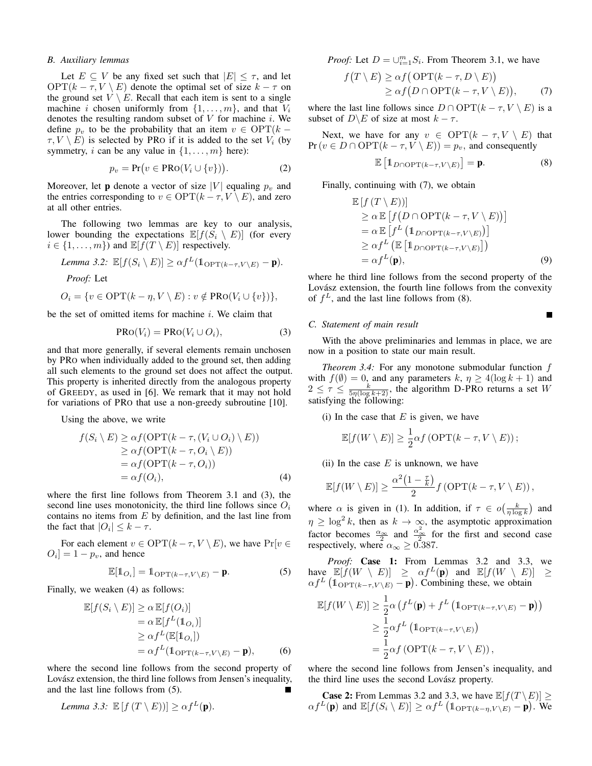## *B. Auxiliary lemmas*

Let  $E \subseteq V$  be any fixed set such that  $|E| \leq \tau$ , and let OPT( $k - \tau$ ,  $V \setminus E$ ) denote the optimal set of size  $k - \tau$  on the ground set  $V \setminus E$ . Recall that each item is sent to a single machine i chosen uniformly from  $\{1, \ldots, m\}$ , and that  $V_i$ denotes the resulting random subset of  $V$  for machine  $i$ . We define  $p_v$  to be the probability that an item  $v \in \text{OPT}(k \tau, V \setminus E$ ) is selected by PRO if it is added to the set  $V_i$  (by symmetry, *i* can be any value in  $\{1, \ldots, m\}$  here):

$$
p_v = \Pr(v \in \text{PRO}(V_i \cup \{v\})).\tag{2}
$$

Moreover, let **p** denote a vector of size |V| equaling  $p_v$  and the entries corresponding to  $v \in \text{OPT}(k - \tau, V \setminus E)$ , and zero at all other entries.

The following two lemmas are key to our analysis, lower bounding the expectations  $\mathbb{E}[f(S_i \setminus E)]$  (for every  $i \in \{1, \ldots, m\}$  and  $\mathbb{E}[f(T \setminus E)]$  respectively.

Lemma 3.2: 
$$
\mathbb{E}[f(S_i \setminus E)] \ge \alpha f^L(\mathbb{1}_{\text{OPT}(k-\tau,V \setminus E)} - \mathbf{p}).
$$
  
\n*Proof:* Let  
\n $O_i = \{v \in \text{OPT}(k - \eta, V \setminus E) : v \notin \text{PRO}(V_i \cup \{v\})\},$ 

be the set of omitted items for machine  $i$ . We claim that

$$
PRO(V_i) = PRO(V_i \cup O_i), \tag{3}
$$

and that more generally, if several elements remain unchosen by PRO when individually added to the ground set, then adding all such elements to the ground set does not affect the output. This property is inherited directly from the analogous property of GREEDY, as used in [6]. We remark that it may not hold for variations of PRO that use a non-greedy subroutine [10].

Using the above, we write

$$
f(S_i \setminus E) \geq \alpha f(\text{OPT}(k - \tau, (V_i \cup O_i) \setminus E))
$$
  
\n
$$
\geq \alpha f(\text{OPT}(k - \tau, O_i \setminus E))
$$
  
\n
$$
= \alpha f(\text{OPT}(k - \tau, O_i))
$$
  
\n
$$
= \alpha f(O_i), \tag{4}
$$

where the first line follows from Theorem 3.1 and (3), the second line uses monotonicity, the third line follows since  $O_i$ contains no items from  $E$  by definition, and the last line from the fact that  $|O_i| \leq k - \tau$ .

For each element  $v \in \text{OPT}(k - \tau, V \setminus E)$ , we have  $\Pr[v \in$  $O_i$  = 1 –  $p_v$ , and hence

$$
\mathbb{E}[\mathbb{1}_{O_i}] = \mathbb{1}_{\text{OPT}(k-\tau, V \setminus E)} - \mathbf{p}.\tag{5}
$$

Finally, we weaken (4) as follows:

$$
\mathbb{E}[f(S_i \setminus E)] \ge \alpha \mathbb{E}[f(O_i)]
$$
  
=  $\alpha \mathbb{E}[f^L(\mathbf{1}_{O_i})]$   
 $\ge \alpha f^L(\mathbb{E}[\mathbf{1}_{O_i}])$   
=  $\alpha f^L(\mathbf{1}_{\text{OPT}(k-\tau, V \setminus E)} - \mathbf{p}),$  (6)

where the second line follows from the second property of Lovász extension, the third line follows from Jensen's inequality, and the last line follows from (5).

Lemma 3.3: 
$$
\mathbb{E}[f(T \setminus E)] \geq \alpha f^L(\mathbf{p}).
$$

*Proof:* Let  $D = \bigcup_{i=1}^{m} S_i$ . From Theorem 3.1, we have

$$
f(T \setminus E) \geq \alpha f(\text{OPT}(k - \tau, D \setminus E))
$$
  
 
$$
\geq \alpha f(D \cap \text{OPT}(k - \tau, V \setminus E)),
$$
 (7)

where the last line follows since  $D \cap \text{OPT}(k - \tau, V \setminus E)$  is a subset of  $D \ E$  of size at most  $k - \tau$ .

Next, we have for any  $v \in \text{OPT}(k - \tau, V \setminus E)$  that  $Pr(v \in D \cap OPT(k - \tau, V \setminus E)) = p_v$ , and consequently

$$
\mathbb{E}\left[\mathbb{1}_{D\cap\text{OPT}(k-\tau,V\setminus E)}\right] = \mathbf{p}.\tag{8}
$$

 $\blacksquare$ 

Finally, continuing with (7), we obtain

$$
\mathbb{E}\left[f(T\setminus E)\right] \n\geq \alpha \mathbb{E}\left[f(D \cap \text{OPT}(k-\tau, V \setminus E))\right] \n= \alpha \mathbb{E}\left[f^L\left(\mathbb{1}_{D \cap \text{OPT}(k-\tau, V \setminus E)}\right)\right] \n\geq \alpha f^L\left(\mathbb{E}\left[\mathbb{1}_{D \cap \text{OPT}(k-\tau, V \setminus E)}\right]\right) \n= \alpha f^L(\mathbf{p}),
$$
\n(9)

where he third line follows from the second property of the Lovász extension, the fourth line follows from the convexity of  $f^L$ , and the last line follows from (8).

## *C. Statement of main result*

With the above preliminaries and lemmas in place, we are now in a position to state our main result.

*Theorem 3.4:* For any monotone submodular function f with  $f(\emptyset) = 0$ , and any parameters k,  $\eta \ge 4(\log k + 1)$  and  $2 \leq \tau \leq \frac{k}{5\eta(\log k + 2)}$ , the algorithm D-PRO returns a set W satisfying the following:

(i) In the case that  $E$  is given, we have

$$
\mathbb{E}[f(W \setminus E)] \ge \frac{1}{2} \alpha f \left( \text{OPT}(k - \tau, V \setminus E) \right);
$$

(ii) In the case  $E$  is unknown, we have

$$
\mathbb{E}[f(W \setminus E)] \ge \frac{\alpha^2 (1 - \frac{\tau}{k})}{2} f(\text{OPT}(k - \tau, V \setminus E)),
$$

where  $\alpha$  is given in (1). In addition, if  $\tau \in o\left(\frac{k}{\eta \log k}\right)$  and  $\eta \geq \log^2 k$ , then as  $k \to \infty$ , the asymptotic approximation factor becomes  $\frac{\alpha_{\infty}}{2}$  and  $\frac{\alpha_{\infty}^2}{2}$  for the first and second case respectively, where  $\alpha_{\infty} \geq 0.387$ .

*Proof:* Case 1: From Lemmas 3.2 and 3.3, we have  $\mathbb{E}[\check{f}(W \setminus E)] \geq \alpha f^{L}(\mathbf{p})$  and  $\mathbb{E}[f(W \setminus E)] \geq$  $\alpha f^L$  ( $\mathbb{1}_{\text{OPT}(k-\tau, V \setminus E)}$  – p). Combining these, we obtain

$$
\mathbb{E}[f(W \setminus E)] \ge \frac{1}{2} \alpha \left( f^{L}(\mathbf{p}) + f^{L} \left( \mathbb{1}_{\text{OPT}(k-\tau, V \setminus E)} - \mathbf{p} \right) \right)
$$
  
\n
$$
\ge \frac{1}{2} \alpha f^{L} \left( \mathbb{1}_{\text{OPT}(k-\tau, V \setminus E)} \right)
$$
  
\n
$$
= \frac{1}{2} \alpha f \left( \text{OPT}(k-\tau, V \setminus E) \right),
$$

where the second line follows from Jensen's inequality, and the third line uses the second Lovász property.

**Case 2:** From Lemmas 3.2 and 3.3, we have  $\mathbb{E}[f(T \setminus E)] \ge$  $\alpha f^{L}(\mathbf{p})$  and  $\mathbb{E}[f(S_i \setminus E)] \geq \alpha f^{L} (\mathbb{1}_{\text{OPT}(k-\eta,V \setminus E)} \setminus \mathbf{p})$ . We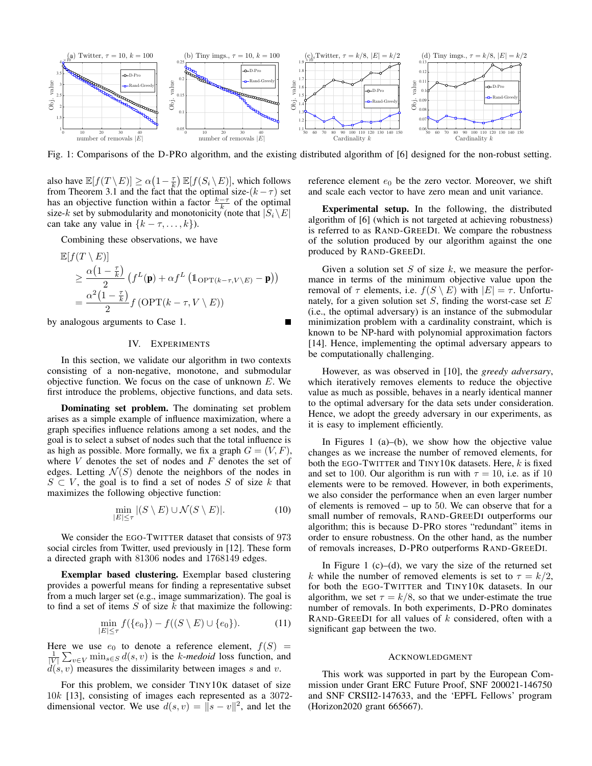

Fig. 1: Comparisons of the D-PRO algorithm, and the existing distributed algorithm of [6] designed for the non-robust setting.

also have  $\mathbb{E}[f(T \setminus E)] \ge \alpha(1 - \frac{\tau}{k}) \mathbb{E}[f(S_i \setminus E)]$ , which follows from Theorem 3.1 and the fact that the optimal size- $(k - \tau)$  set has an objective function within a factor  $\frac{k-\tau}{k}$  of the optimal size-k set by submodularity and monotonicity (note that  $|S_i\setminus E|$ can take any value in  $\{k - \tau, \ldots, k\}$ .

Combining these observations, we have

$$
\mathbb{E}[f(T \setminus E)]
$$
  
\n
$$
\geq \frac{\alpha(1 - \frac{\tau}{k})}{2} \left( f^{L}(\mathbf{p}) + \alpha f^{L} \left( \mathbb{1}_{\text{OPT}(k-\tau,V \setminus E)} - \mathbf{p} \right) \right)
$$
  
\n
$$
= \frac{\alpha^{2} (1 - \frac{\tau}{k})}{2} f \left( \text{OPT}(k - \tau, V \setminus E) \right)
$$

by analogous arguments to Case 1.

## IV. EXPERIMENTS

In this section, we validate our algorithm in two contexts consisting of a non-negative, monotone, and submodular objective function. We focus on the case of unknown  $E$ . We first introduce the problems, objective functions, and data sets.

Dominating set problem. The dominating set problem arises as a simple example of influence maximization, where a graph specifies influence relations among a set nodes, and the goal is to select a subset of nodes such that the total influence is as high as possible. More formally, we fix a graph  $G = (V, F)$ , where  $V$  denotes the set of nodes and  $F$  denotes the set of edges. Letting  $\mathcal{N}(S)$  denote the neighbors of the nodes in  $S \subset V$ , the goal is to find a set of nodes S of size k that maximizes the following objective function:

$$
\min_{|E| \le \tau} |(S \setminus E) \cup \mathcal{N}(S \setminus E)|. \tag{10}
$$

We consider the EGO-TWITTER dataset that consists of 973 social circles from Twitter, used previously in [12]. These form a directed graph with 81306 nodes and 1768149 edges.

Exemplar based clustering. Exemplar based clustering provides a powerful means for finding a representative subset from a much larger set (e.g., image summarization). The goal is to find a set of items  $S$  of size  $k$  that maximize the following:

$$
\min_{|E| \le \tau} f(\{e_0\}) - f((S \setminus E) \cup \{e_0\}).\tag{11}
$$

Here we use  $e_0$  to denote a reference element,  $f(S)$  =  $\frac{1}{|V|} \sum_{v \in V} \min_{s \in S} d(s, v)$  is the k-medoid loss function, and  $d(s, v)$  measures the dissimilarity between images s and v.

For this problem, we consider TINY10K dataset of size 10k [13], consisting of images each represented as a 3072 dimensional vector. We use  $d(s, v) = \int |s - v|^2$ , and let the

reference element  $e_0$  be the zero vector. Moreover, we shift and scale each vector to have zero mean and unit variance.

Experimental setup. In the following, the distributed algorithm of [6] (which is not targeted at achieving robustness) is referred to as RAND-GREEDI. We compare the robustness of the solution produced by our algorithm against the one produced by RAND-GREEDI.

Given a solution set  $S$  of size  $k$ , we measure the performance in terms of the minimum objective value upon the removal of  $\tau$  elements, i.e.  $f(S \setminus E)$  with  $|E| = \tau$ . Unfortunately, for a given solution set  $S$ , finding the worst-case set  $E$ (i.e., the optimal adversary) is an instance of the submodular minimization problem with a cardinality constraint, which is known to be NP-hard with polynomial approximation factors [14]. Hence, implementing the optimal adversary appears to be computationally challenging.

However, as was observed in [10], the *greedy adversary*, which iteratively removes elements to reduce the objective value as much as possible, behaves in a nearly identical manner to the optimal adversary for the data sets under consideration. Hence, we adopt the greedy adversary in our experiments, as it is easy to implement efficiently.

In Figures 1 (a)–(b), we show how the objective value changes as we increase the number of removed elements, for both the EGO-TWITTER and TINY10K datasets. Here,  $k$  is fixed and set to 100. Our algorithm is run with  $\tau = 10$ , i.e. as if 10 elements were to be removed. However, in both experiments, we also consider the performance when an even larger number of elements is removed – up to 50. We can observe that for a small number of removals, RAND-GREEDI outperforms our algorithm; this is because D-PRO stores "redundant" items in order to ensure robustness. On the other hand, as the number of removals increases, D-PRO outperforms RAND-GREEDI.

In Figure 1  $(c)$ – $(d)$ , we vary the size of the returned set k while the number of removed elements is set to  $\tau = k/2$ , for both the EGO-TWITTER and TINY10K datasets. In our algorithm, we set  $\tau = k/8$ , so that we under-estimate the true number of removals. In both experiments, D-PRO dominates RAND-GREEDI for all values of  $k$  considered, often with a significant gap between the two.

## ACKNOWLEDGMENT

This work was supported in part by the European Commission under Grant ERC Future Proof, SNF 200021-146750 and SNF CRSII2-147633, and the 'EPFL Fellows' program (Horizon2020 grant 665667).